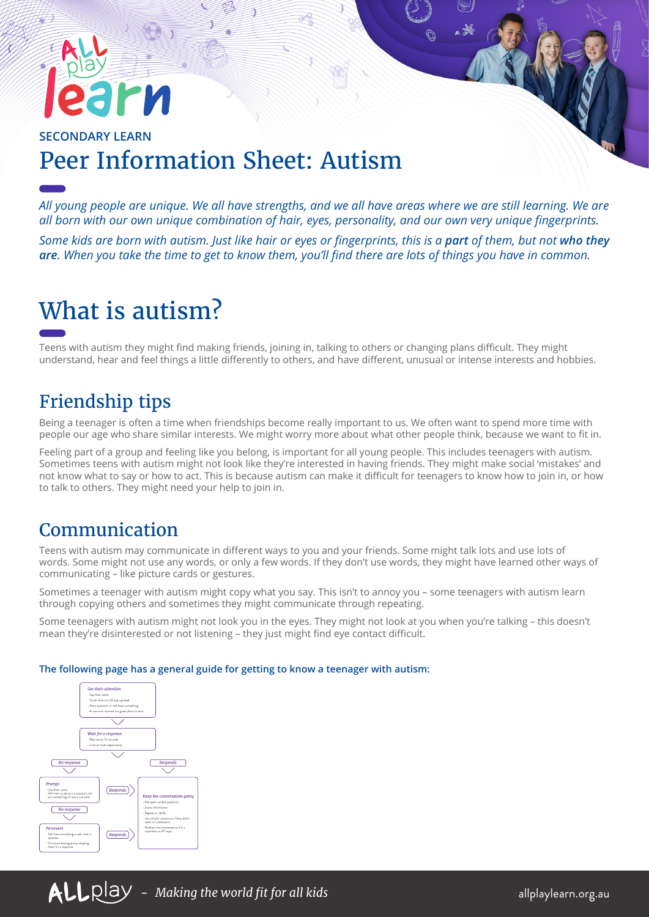# **SECONDARY LEARN** Peer Information Sheet: Autism

*All young people are unique. We all have strengths, and we all have areas where we are still learning. We are all born with our own unique combination of hair, eyes, personality, and our own very unique fingerprints.* 

*Some kids are born with autism. Just like hair or eyes or fingerprints, this is a part of them, but not who they are. When you take the time to get to know them, you'll find there are lots of things you have in common.*

# What is autism?

Teens with autism they might find making friends, joining in, talking to others or changing plans difficult. They might understand, hear and feel things a little differently to others, and have different, unusual or intense interests and hobbies.

# Friendship tips

Being a teenager is often a time when friendships become really important to us. We often want to spend more time with people our age who share similar interests. We might worry more about what other people think, because we want to fit in.

Feeling part of a group and feeling like you belong, is important for all young people. This includes teenagers with autism. Sometimes teens with autism might not look like they're interested in having friends. They might make social 'mistakes' and not know what to say or how to act. This is because autism can make it difficult for teenagers to know how to join in, or how to talk to others. They might need your help to join in.

#### Communication

Teens with autism may communicate in different ways to you and your friends. Some might talk lots and use lots of words. Some might not use any words, or only a few words. If they don't use words, they might have learned other ways of communicating – like picture cards or gestures.

Sometimes a teenager with autism might copy what you say. This isn't to annoy you – some teenagers with autism learn through copying others and sometimes they might communicate through repeating.

Some teenagers with autism might not look you in the eyes. They might not look at you when you're talking – this doesn't mean they're disinterested or not listening – they just might find eye contact difficult.

#### **The following page has a general guide for getting to know a teenager with autism:**

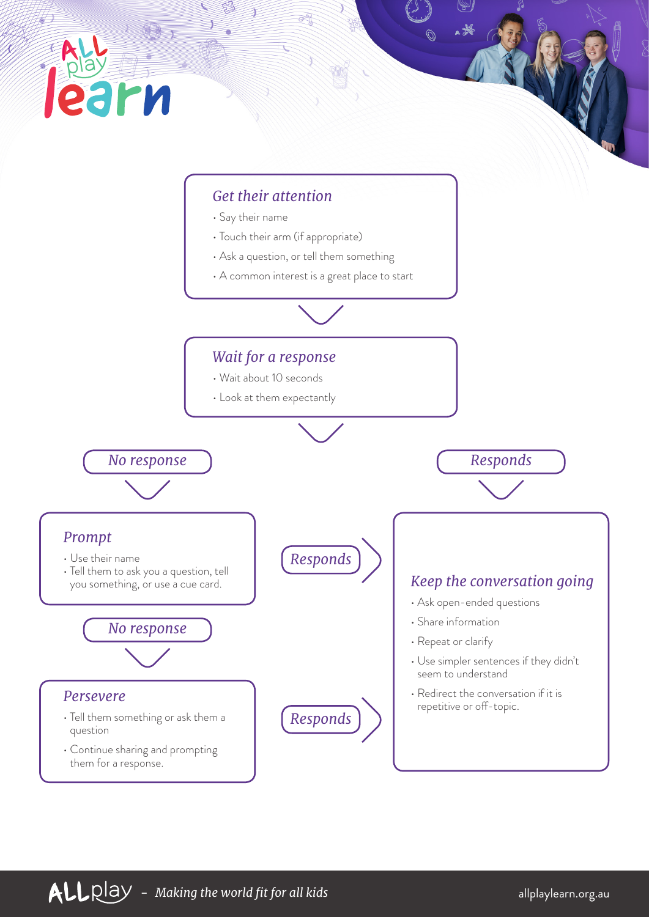